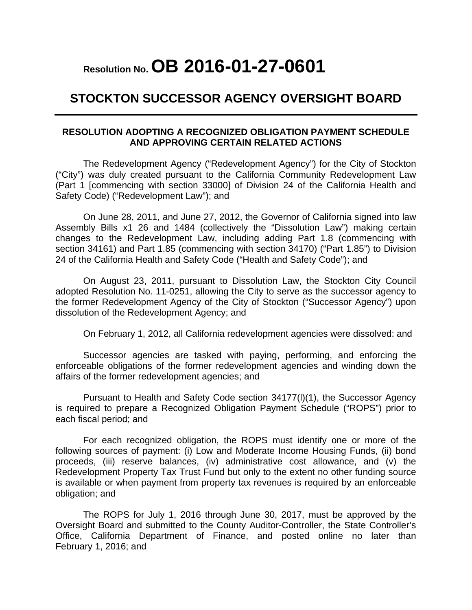### **Resolution No. OB 2016-01-27-0601**

#### **STOCKTON SUCCESSOR AGENCY OVERSIGHT BOARD**

#### **RESOLUTION ADOPTING A RECOGNIZED OBLIGATION PAYMENT SCHEDULE AND APPROVING CERTAIN RELATED ACTIONS**

The Redevelopment Agency ("Redevelopment Agency") for the City of Stockton ("City") was duly created pursuant to the California Community Redevelopment Law (Part 1 [commencing with section 33000] of Division 24 of the California Health and Safety Code) ("Redevelopment Law"); and

On June 28, 2011, and June 27, 2012, the Governor of California signed into law Assembly Bills x1 26 and 1484 (collectively the "Dissolution Law") making certain changes to the Redevelopment Law, including adding Part 1.8 (commencing with section 34161) and Part 1.85 (commencing with section 34170) ("Part 1.85") to Division 24 of the California Health and Safety Code ("Health and Safety Code"); and

On August 23, 2011, pursuant to Dissolution Law, the Stockton City Council adopted Resolution No. 11-0251, allowing the City to serve as the successor agency to the former Redevelopment Agency of the City of Stockton ("Successor Agency") upon dissolution of the Redevelopment Agency; and

On February 1, 2012, all California redevelopment agencies were dissolved: and

Successor agencies are tasked with paying, performing, and enforcing the enforceable obligations of the former redevelopment agencies and winding down the affairs of the former redevelopment agencies; and

Pursuant to Health and Safety Code section 34177(l)(1), the Successor Agency is required to prepare a Recognized Obligation Payment Schedule ("ROPS") prior to each fiscal period; and

For each recognized obligation, the ROPS must identify one or more of the following sources of payment: (i) Low and Moderate Income Housing Funds, (ii) bond proceeds, (iii) reserve balances, (iv) administrative cost allowance, and (v) the Redevelopment Property Tax Trust Fund but only to the extent no other funding source is available or when payment from property tax revenues is required by an enforceable obligation; and

The ROPS for July 1, 2016 through June 30, 2017, must be approved by the Oversight Board and submitted to the County Auditor-Controller, the State Controller's Office, California Department of Finance, and posted online no later than February 1, 2016; and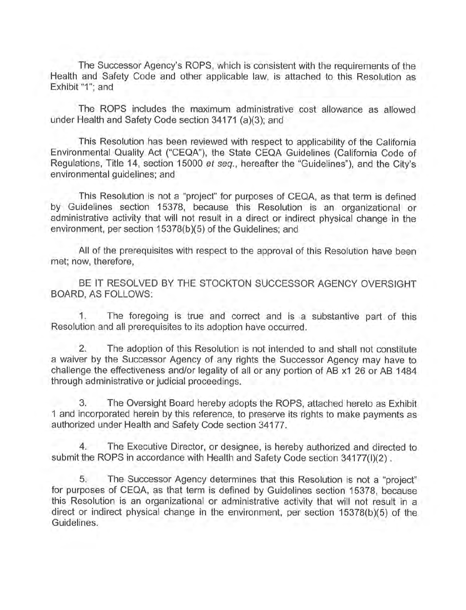The Successor Agency's ROPS, which is consistent with the requirements of the Health and Safety Code and other applicable law, is attached to this Resolution as Exhibit "1"; and

The ROPS includes the maximum administrative cost allowance as allowed under Health and Safety Code section 34171 (a)(3); and

This Resolution has been reviewed with respect to applicability of the California Environmental Quality Act ("CEQA"), the State CEQA Guidelines (California Code of Regulations, Title 14, section 15000 et seq., hereafter the "Guidelines"), and the City's environmental guidelines; and

This Resolution is not a "project" for purposes of CEQA, as that term is defined by Guidelines section 15378, because this Resolution is an organizational or administrative activity that will not result in a direct or indirect physical change in the environment, per section 15378(b)(5) of the Guidelines; and

All of the prerequisites with respect to the approval of this Resolution have been met; now, therefore,

BE IT RESOLVED BY THE STOCKTON SUCCESSOR AGENCY OVERSIGHT BOARD, AS FOLLOWS:

The foregoing is true and correct and is a substantive part of this 1. Resolution and all prerequisites to its adoption have occurred.

 $2.$ The adoption of this Resolution is not intended to and shall not constitute a waiver by the Successor Agency of any rights the Successor Agency may have to challenge the effectiveness and/or legality of all or any portion of AB x1 26 or AB 1484 through administrative or judicial proceedings.

The Oversight Board hereby adopts the ROPS, attached hereto as Exhibit 3. 1 and incorporated herein by this reference, to preserve its rights to make payments as authorized under Health and Safety Code section 34177.

 $4.$ The Executive Director, or designee, is hereby authorized and directed to submit the ROPS in accordance with Health and Safety Code section 34177(I)(2).

5. The Successor Agency determines that this Resolution is not a "project" for purposes of CEQA, as that term is defined by Guidelines section 15378, because this Resolution is an organizational or administrative activity that will not result in a direct or indirect physical change in the environment, per section 15378(b)(5) of the Guidelines.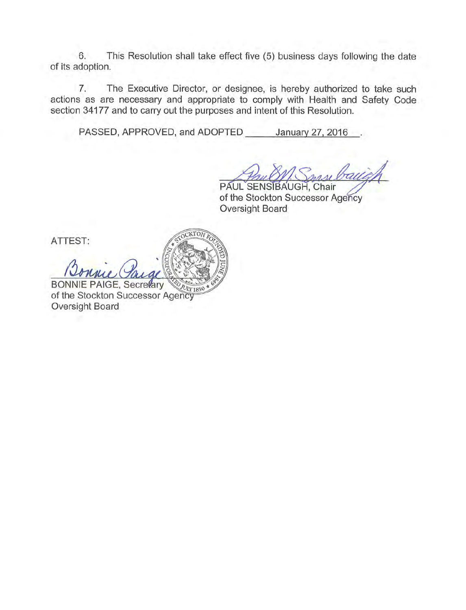This Resolution shall take effect five (5) business days following the date 6. of its adoption.

The Executive Director, or designee, is hereby authorized to take such  $7.$ actions as are necessary and appropriate to comply with Health and Safety Code section 34177 and to carry out the purposes and intent of this Resolution.

PASSED, APPROVED, and ADOPTED January 27, 2016

CKTON

PAUL SENSIBAUGH, Chair of the Stockton Successor Agency Oversight Board

ATTEST:

**BONNIE PAIGE, Secretary** ULY 1850 of the Stockton Successor Agency Oversight Board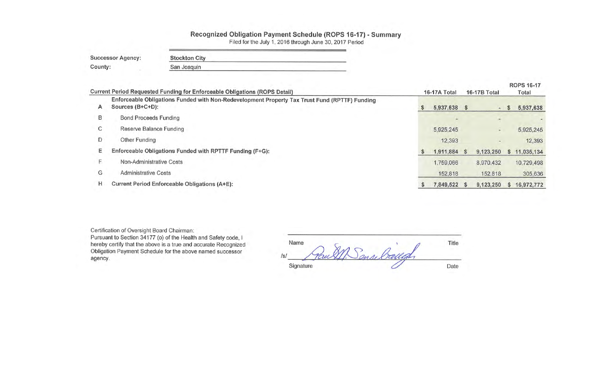# Recognized Obligation Payment Schedule (ROPS 16-17) - Summary<br>Filed for the July 1, 2016 through June 30, 2017 Period

| <b>Successor Agency:</b> | <b>Stockton City</b> |  |
|--------------------------|----------------------|--|
| County:                  | San Joaquin          |  |

|          | Current Period Requested Funding for Enforceable Obligations (ROPS Detail)                                        | 16-17A Total |              |  | 16-17B Total   | <b>ROPS 16-17</b><br>Total |            |  |
|----------|-------------------------------------------------------------------------------------------------------------------|--------------|--------------|--|----------------|----------------------------|------------|--|
| A        | Enforceable Obligations Funded with Non-Redevelopment Property Tax Trust Fund (RPTTF) Funding<br>Sources (B+C+D): | S            | 5,937,638 \$ |  | in.            | S                          | 5,937,638  |  |
| B        | <b>Bond Proceeds Funding</b>                                                                                      |              | $\sim$       |  |                |                            |            |  |
| C        | <b>Reserve Balance Funding</b>                                                                                    |              | 5,925,245    |  | $\blacksquare$ |                            | 5,925,245  |  |
| D        | Other Funding                                                                                                     |              | 12,393       |  | ۰              |                            | 12,393     |  |
| Е        | Enforceable Obligations Funded with RPTTF Funding (F+G):                                                          |              | 1,911,884 \$ |  | 9,123,250      | S.                         | 11,035,134 |  |
| <b>1</b> | Non-Administrative Costs                                                                                          |              | 1,759,066    |  | 8,970,432      |                            | 10,729,498 |  |
| G        | <b>Administrative Costs</b>                                                                                       |              | 152,818      |  | 152,818        |                            | 305,636    |  |
| н        | Current Period Enforceable Obligations (A+E):                                                                     |              | 7,849,522 \$ |  | 9,123,250      | s                          | 16,972,772 |  |
|          |                                                                                                                   |              |              |  |                |                            |            |  |

Certification of Oversight Board Chairman:

Pursuant to Section 34177 (o) of the Health and Safety code, I<br>hereby certify that the above is a true and accurate Recognized<br>Obligation Payment Schedule for the above named successor agency.

| Name       |                       | Title |
|------------|-----------------------|-------|
| $\sqrt{s}$ | allah<br>$A_{\alpha}$ |       |
| Signature  |                       | Date  |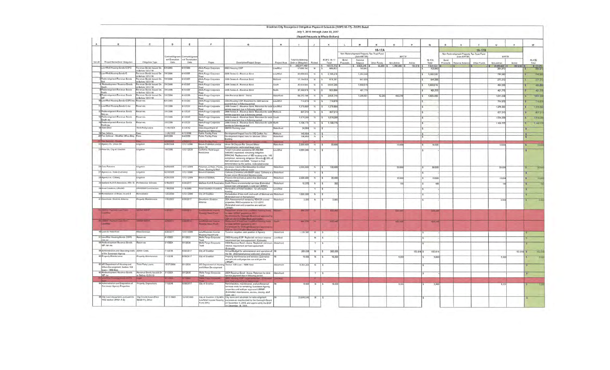|         |                                                                                       |                                                     |                                         |                                          |                                                                        |                                                                                                                                                                                                                                                                                                |              | Stockton City Recognized Obligation Payment Schedule (ROPS 16-17) - ROPS Detail |               |                                                                         |                         |                                           |             |                    |           |                    |                         |                                           |              |                           |              |                 |
|---------|---------------------------------------------------------------------------------------|-----------------------------------------------------|-----------------------------------------|------------------------------------------|------------------------------------------------------------------------|------------------------------------------------------------------------------------------------------------------------------------------------------------------------------------------------------------------------------------------------------------------------------------------------|--------------|---------------------------------------------------------------------------------|---------------|-------------------------------------------------------------------------|-------------------------|-------------------------------------------|-------------|--------------------|-----------|--------------------|-------------------------|-------------------------------------------|--------------|---------------------------|--------------|-----------------|
|         |                                                                                       |                                                     |                                         |                                          |                                                                        |                                                                                                                                                                                                                                                                                                |              |                                                                                 |               | July 1, 2016 through June 30, 2017<br>(Report Amounts in Whole Dollars) |                         |                                           |             |                    |           |                    |                         |                                           |              |                           |              |                 |
|         |                                                                                       | c                                                   | $\mathbf{D}$                            | E                                        | F                                                                      | $\sigma$                                                                                                                                                                                                                                                                                       | H.           |                                                                                 | $\mathcal{L}$ | $\mathbf x$                                                             |                         | M                                         |             | $\alpha$           | p.        |                    | $\mathbf{R}$            |                                           |              | $\mathbf{u}$              | $\mathbf{v}$ |                 |
|         |                                                                                       |                                                     |                                         |                                          |                                                                        |                                                                                                                                                                                                                                                                                                |              |                                                                                 |               |                                                                         |                         |                                           | 16-17A      |                    |           | $\circ$            |                         |                                           | 16-17B       |                           |              | w               |
|         |                                                                                       |                                                     |                                         |                                          |                                                                        |                                                                                                                                                                                                                                                                                                |              |                                                                                 |               |                                                                         |                         | Non-Redevelopment Property Tax Trust Fund |             |                    |           |                    |                         | Non-Redevelopment Property Tax Trust Fund |              |                           |              |                 |
| tiern # | Project Name/Debt Obligation                                                          | Obligation Type                                     | ontract/Agreem<br>ent Execution<br>Date | Contract/Agree<br>ent Terminatio<br>Date | Payee                                                                  | Description/Project Scope                                                                                                                                                                                                                                                                      | Project Area | Total Outstanding<br>Debt or Obligation                                         | Retired       | ROPS 16-17<br>Total                                                     | Bond<br><b>Proceeds</b> | (Non-RPTTF)<br>Reserve<br>Balance         | Other Funds | DOTTE<br>Non-Admin | Admin     | 16-17A<br>Total    | <b>Bond</b><br>Proceeds | (Non-RPTTF)<br>sorve Balan                | Cities Funds | <b>DOTTE</b><br>Non-Admin | Admin        | 16-176<br>Total |
|         | LowMod Housing Bonds COPS                                                             | weeks Boods Issued On                               | 6/1/2003                                | 10033                                    | <b>Wells Fargo Corporate</b>                                           | 2003 Housing COP                                                                                                                                                                                                                                                                               | nA           | 260,577,460<br>17,650.                                                          |               | 16,972,772<br>988.82                                                    |                         | $5.925245$ \$<br>703.9                    | 12,393      | 1.759.006          | 157 818   | 7,849.52<br>703,95 |                         |                                           |              | 8,970,432<br>284.87       | 157.818      | P.123.25        |
|         | LowMod Housing Bonds C                                                                | F Before 12/31/10<br>vienue Bonds Issued On         | 7/1/2006                                | 9/1/2037                                 | Nells Fargo Corporate                                                  | 2006 Series C - Revenue Bond                                                                                                                                                                                                                                                                   | ov/Mod       | 42 056 933                                                                      |               | 2,108,210                                                               |                         | 1,363,33                                  |             |                    |           | 1,363,330          |                         |                                           |              | 744.84                    |              |                 |
|         | Redevelopment Revenue Bonds                                                           | F Before 12/31/10<br>mue Bonds Issued Or            | 1/2006                                  | 1/2037                                   | lells Fargo Corporate                                                  | 2006 Series A - Revenue Bond                                                                                                                                                                                                                                                                   | fictions     | 17,154,638                                                                      |               | 918,30                                                                  |                         | 641.0                                     |             |                    |           | 641.08             |                         |                                           |              | 277.21                    |              |                 |
|         | <b>IMid</b><br>4 Redevelopment Revenue Bonds                                          | r Before 12/31/10<br><b>Revenue Bonds Issued On</b> | 11/2006                                 | V1/2037                                  | Wells Fargo Corporate                                                  | 2006 Series A - Revenue Bond                                                                                                                                                                                                                                                                   | outh         | 32.024.944                                                                      |               | 2,044,288                                                               |                         | 1,550,01                                  |             |                    |           | 1,550,019          |                         |                                           |              | 494.26                    |              |                 |
|         | South<br>edevelopment Revenue Bonds                                                   | r Before 12/31/10<br>venue Bonds Issued On          | 1/2006                                  | 1/2037                                   | Nells Fargo Corporate                                                  | 2006 Series A - Revenue Bond                                                                                                                                                                                                                                                                   | <b>korth</b> | 31,368,975                                                                      |               | 923,550                                                                 |                         | 461.7                                     |             |                    |           | 461,775            |                         |                                           |              | 461,7                     |              |                 |
|         | North<br>Redevelopment Revenue Bonds                                                  | F Before 12/31/10<br>venue Bonds Issued On          | 3/1/2004                                | V1/2036                                  | Wells Fargo Corporate                                                  | 2004 Revenue Bond - Arena                                                                                                                                                                                                                                                                      | Naterfront   | 68.343.79                                                                       |               | 2,636,748                                                               |                         | 1,205,081                                 | 12.393      | 408.011            |           | 1,625,490          |                         |                                           |              | 1.011.25                  |              |                 |
|         | lwe<br>10 Low/Mod Housing Bonds COPS rs.                                              | Pefore 12/31/10<br>sérves.                          | 6/1/2003                                | V1/2033                                  | Wells Fargo Corporate                                                  | 2003 Housing COP: Retention for debt service                                                                                                                                                                                                                                                   | oviMod       | 714.87                                                                          |               | 714,870                                                                 |                         |                                           |             |                    |           |                    |                         |                                           |              | 714.87                    |              |                 |
|         | 11 LowMod Housing Bonds C rsv                                                         | serves                                              | 7/1/2006                                | V1/2037                                  |                                                                        | payment due in following period.<br>2006 Series C - Revenue Bond: Retention for debt LowMod                                                                                                                                                                                                    |              |                                                                                 |               |                                                                         |                         |                                           |             |                    |           |                    |                         |                                           |              |                           |              |                 |
|         | 12 Redevelopment Revenue Bonds                                                        | serves                                              | 7/1/2006                                | 11/2037                                  | Wells Fargo Corporate                                                  | envice payment due in following period.                                                                                                                                                                                                                                                        |              | 1,379,880                                                                       |               | \$ 1,379.880                                                            |                         |                                           |             |                    |           |                    |                         |                                           |              | 1,379.88                  |              |                 |
|         | Midlinky                                                                              |                                                     |                                         |                                          | Nells Fargo Corporate<br>nust                                          | 2006 Series A - Revenue Bond: Retention for deb<br>vervice payment due in following period.                                                                                                                                                                                                    |              | 837,21                                                                          |               | 837,213                                                                 |                         |                                           |             |                    |           |                    |                         |                                           |              | 837,21                    |              | 玉               |
|         | Redevelopment Revenue Bonds<br>South rsv                                              | serves                                              | 7/1/2006                                | 1/2037                                   | Wells Fargo Corporate                                                  | 2006 Series A - Revenue Bond: Retention for debt South<br>service payment due in following period.<br>2006 Series A - Revenue Bond: Retention for debt                                                                                                                                         |              | 1.574.269                                                                       |               | 1,574.26                                                                |                         |                                           |             |                    |           |                    |                         |                                           |              | 1,574,26                  |              |                 |
|         | 14 Redevelopment Revenue Bonds<br>North rsv                                           | <b>Morves</b>                                       | 7/1/2006                                | 11/2037                                  | Wells Fargo Corporate                                                  | wice in following period.                                                                                                                                                                                                                                                                      |              | 1,106,77                                                                        |               | 1,106,77<br>$\sim$                                                      |                         |                                           |             |                    |           |                    |                         |                                           |              | 1,106.7                   |              |                 |
|         | 8 State Debt                                                                          | hird-Party Loam                                     | 1/15/2001                               | 1/2012                                   | State Department of                                                    | DBAW Planning Loan                                                                                                                                                                                                                                                                             | Waterfrom    | 34,964                                                                          | N             |                                                                         |                         |                                           |             |                    |           |                    |                         |                                           |              |                           |              |                 |
|         | 19 Fee Deferra<br>20 Fee Deferral - WorkNet Office Bide                               | Foes<br>Fees                                        | 1/26/2002<br>14/2004                    | 8/12/2058<br>V4/2059                     | Boating and Waterways<br>Public Facility Fees<br>Jublic Facility Fees. | Development Impact fees for 612 Cariton Ave<br>velopment Impact foes for Worknet Office                                                                                                                                                                                                        | Midtown      | 143,954<br>196,950                                                              |               |                                                                         |                         |                                           |             |                    |           |                    |                         |                                           |              |                           |              |                 |
|         |                                                                                       |                                                     |                                         |                                          |                                                                        | Building                                                                                                                                                                                                                                                                                       |              |                                                                                 |               |                                                                         |                         |                                           |             |                    |           |                    |                         |                                           |              |                           |              |                 |
|         | 22 Agency Vs. Union Oil                                                               | <b>itigation</b>                                    | 9/28/2004                               | 12/31/2099                               | Brown & Winters and/or<br><b>Ino noirl</b>                             | Union Oil Dispute Re: Ground Water<br>Contamination (estimated legal costs                                                                                                                                                                                                                     | Waterfront   | 2,000,000                                                                       |               | 20,000<br>$N \mid S$                                                    |                         |                                           |             | 10.000             |           | 10,000             |                         |                                           |              | 10,000                    |              |                 |
|         | 23 Price Vs. City of Stockton                                                         | Litigation                                          | 1/9/2006                                | 12/31/2020                               | California Rural Lega<br>Assistance                                    | enant relocation assistance \$1,455,000<br>\$460,652 expended, remaining obligation.<br>\$994,348. Replacement of 185 housing units: 146<br>completed, remaining obligation 39 units @ 30% o<br>AMI (estimated cost \$4M). "Subject to final"<br>demnination by the parties, (estimated costs) | ovv1Mod      | 4.994.348                                                                       |               |                                                                         |                         |                                           |             |                    |           |                    |                         |                                           |              |                           |              |                 |
|         | 24 Civic Partners                                                                     | Litigation                                          | 6/25/2005                               | 12/31/2099                               | reserves. D'Akdo, Pierce.<br>urev, Keeling & Wolf                      | Developer Claims RDA Breached Contract<br>(Estimated legal defense costs)                                                                                                                                                                                                                      | derfront     | 3,000,000                                                                       | $N = 5$       | 100.000                                                                 |                         |                                           |             | 50,00              |           | 50,000             |                         |                                           |              | 50.00                     |              |                 |
|         | 27 Agency vs. State (Caltrans                                                         | <b>Rigation</b>                                     | 6/27/2005                               | 2/31/2099                                | over & Winters                                                         | Caltrans (Coincides with BNSF case). Caltrans is a<br>mer owner (Estimated Itigation costs                                                                                                                                                                                                     | Waterfront   |                                                                                 |               |                                                                         |                         |                                           |             |                    |           |                    |                         |                                           |              |                           |              |                 |
|         | 28 Agency vs. Colberg                                                                 | Libgation                                           | 6/29/2005                               | 12/31/2099                               | own & Winters.                                                         | anco Act corrective action trial (Estimated<br>sation costs)                                                                                                                                                                                                                                   | Vaterfront   | 2,000,000                                                                       |               | 20,000                                                                  |                         |                                           |             | 10,00              |           | 10,000             |                         |                                           |              | 10.00                     |              |                 |
|         | 34 Wallace Kuhl & Associates 155118                                                   | Professional Services                               | 5/15/2007                               | 930/2017                                 |                                                                        | Waltace Kuhl & Associates South Shore environmental services (Estimated<br>mual cost until property is sold per LRPMP)                                                                                                                                                                         | Vaterfront   | 12.072                                                                          | M.            | 320                                                                     |                         |                                           |             |                    |           | 160                |                         |                                           |              |                           |              |                 |
|         | 39 Hotel Stockton, LRA340                                                             | <b>OPA/DOA/Construction</b>                         | (18/2005)                               | (18/2060)                                | Hotel Stockton Investor                                                | ovation of Hotel Stockton - for affordable<br>pains                                                                                                                                                                                                                                            | ovaMod       |                                                                                 |               |                                                                         |                         |                                           |             |                    |           |                    |                         |                                           |              |                           |              |                 |
|         | 40 Remediation of Areas 24 and 4                                                      | nediation                                           | 20/2009                                 | 2/31/2099                                | City of Stockton                                                       | diation of lots north and south of Worknet site Waterfront                                                                                                                                                                                                                                     |              | 1.500,000                                                                       |               |                                                                         |                         |                                           |             |                    |           |                    |                         |                                           |              |                           |              |                 |
|         | 41 Downtown Stockton Allance                                                          | roperty Maintenance                                 | 10/2007                                 | \$/30/2017                               | Yowntown Stockton<br>Miance                                            | Estimated cost of Remediation"<br>SA Assessment of remaining RDA/SA owned<br>reperties. PBID expiration is 12/31/2017.<br>(Estimated cost until properties are sold per<br><b>ROMADY</b>                                                                                                       | Waterfront   | 3.00                                                                            | N             | 3.000                                                                   |                         |                                           |             |                    |           |                    |                         |                                           |              | 3000                      |              |                 |
|         | <b>CESAF Reynold Low Road</b><br><b>The Contract</b>                                  | <b>TALE BAN</b>                                     | 7,77                                    |                                          | <b>Warrent Plasmi Florid</b>                                           | <b>COMPANY PRODUCTS IN THE REAL PROPERTY</b><br>GLASSING CERAF programming CERA<br><b>Good is Complete Business agreement</b><br>on the first star that and Oaks                                                                                                                               |              | <b>PART 1710</b>                                                                |               | <b>COMPANY</b>                                                          |                         |                                           |             | 836, 648           |           | 235.33             |                         |                                           |              |                           |              |                 |
|         | distant property and<br><b>Contract</b>                                               | ang pan                                             | <b>ALCOHOL</b>                          | <b>SOCKET</b>                            | <b>Confidential Contract</b><br>ming lines Ford                        | <b>Child Street Law Law American Street Service</b><br>1950 of Hills of AUST Annual House<br>remove by Dystages Insurance approval.                                                                                                                                                            | <b>Parts</b> | <b>PASSED</b>                                                                   |               | 6868                                                                    |                         |                                           |             | 62.445             |           | <b>CHAR</b>        |                         |                                           |              |                           |              |                 |
|         | 48 Loan to Waterfront                                                                 | Miscellaneous                                       | 6/30/2011                               | 12/31/2099                               | Low/Moderate Income<br>ousing Asset Fund                               | To cover negative cash position of Agency                                                                                                                                                                                                                                                      |              | 1,108,580                                                                       |               |                                                                         |                         |                                           |             |                    |           |                    |                         |                                           |              |                           |              |                 |
|         | 51 LoveMod Housing Bonds COPS                                                         | eserves                                             | 6/1/2003                                | 1/2033                                   | Wells Fargo Corporate                                                  | 2003 Housing COP: Replenish minimum reserve                                                                                                                                                                                                                                                    | LowMod       |                                                                                 |               |                                                                         |                         |                                           |             |                    |           |                    |                         |                                           |              |                           |              |                 |
|         | min rev<br>56 Redevelopment Revenue Bonds<br>WF min rsv.                              | eserves                                             | 3/1/2004                                | 3/1/2036                                 | Wells Fargo Corporate<br><b>TEMP</b>                                   | requirement per loan agreement. (Estimate).<br>2004 Revenue Bond - Arena: Replenish minimum<br>serve requirement per loan agreement.                                                                                                                                                           | Materfront   |                                                                                 |               |                                                                         |                         |                                           |             |                    |           |                    |                         |                                           |              |                           |              |                 |
|         | 55 Administration and Operating costs<br>of the Successor Agency                      | Admin Costs                                         | 7/1/2016                                | 6/30/2017                                | City of Stockton                                                       | (Estimate)<br>Annual Budget for administration and operation of All                                                                                                                                                                                                                            |              | 305.636                                                                         | N             | 305,636                                                                 |                         |                                           |             |                    | 152,818 S | 152,818            |                         |                                           |              |                           | 152,818 \$   |                 |
|         | roperty Maintenance                                                                   | <b>Toperty Maintenance</b>                          | 7/1/2016                                | 6/30/2017                                | City of Stockton                                                       | the SA (Estimated annual amin cost allowance<br>roperty maintenance and services (Estimated<br>sniual cost until properties are sold per the<br>LRPMP)                                                                                                                                         |              | 10.000                                                                          | $\mathbb{N}$  | 10,000                                                                  |                         |                                           |             | 5.00               |           | 5,000              |                         |                                           |              | 5.00                      |              |                 |
|         | 61 US Department of Housing and<br>Urban Development, Section 108<br>Loan - 1998 Note | Third-Party Loans                                   | 12/27/2000                              | 5/1/2020                                 | and Urban Development                                                  | US Department of Housing Section 108 Loan - 1998 Note                                                                                                                                                                                                                                          | Naterfront   | 5 304 203                                                                       | <b>N</b>      |                                                                         |                         |                                           |             |                    |           |                    |                         |                                           |              |                           |              |                 |
|         | 62 Redevelopment Revenue Bonds<br>WF nv                                               | Revenue Bonds Issued On<br>or Before 12/31/10       | 3/1/2004                                | 9/1/2036                                 | Wells Fargo Corporate<br>Trust                                         | 2004 Revenue Bond - Arena: Retention for debt<br>tervice payment due in following period.                                                                                                                                                                                                      | Waterfront   |                                                                                 | x             |                                                                         |                         |                                           |             |                    |           |                    |                         |                                           |              |                           |              |                 |
|         | <b>Coming Service COPS</b>                                                            |                                                     |                                         |                                          |                                                                        | <b>THE COP LAGA MAY</b>                                                                                                                                                                                                                                                                        |              |                                                                                 |               |                                                                         |                         |                                           |             |                    |           |                    |                         |                                           |              |                           |              |                 |
|         | 64 Administration and Disposition of<br>Successor Agency Properties                   | Property Dispositions                               | 1/2016                                  | 6/30/2017                                | City of Stockton                                                       | ministrative, maintenance, and professional<br>nvices costs for remaining Successor Agency<br>roperties until sold per approved LRPMP.<br>(Estimated: maintenance, escrow, closing, staff                                                                                                      |              |                                                                                 | 10,000 N \$   | 10.000                                                                  |                         |                                           |             | 5.000              |           | 5,000              |                         |                                           |              | 5.000                     |              |                 |
|         | 68 City Loan repayments pursuant to<br>HSC section 34191.4 (b)                        | City/County Loan (Prior<br>06/28/11). Other         | 12/12/1989                              | 12/18/2050                               | Fund 20%)                                                              | cets, atc.t.<br>City of Stockton (City 80%, City loans and advances for redevelopment<br>LowMod Income Housing purposes as reauthorized by the Oversight Board<br>on November 4, 2015, and approved by the DOF<br>Chapmaker 10 5516                                                            |              | 23 849 549                                                                      | N             | $\frac{1}{2}$                                                           |                         |                                           |             |                    |           |                    |                         |                                           |              |                           |              |                 |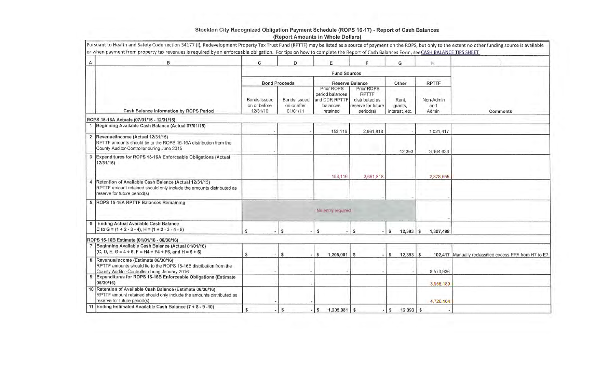| $\mathsf{A}$ | B                                                                                                                                                                  | C                                    | D            | E                                              | F.                                                                     | G                 | н                         |                                                        |
|--------------|--------------------------------------------------------------------------------------------------------------------------------------------------------------------|--------------------------------------|--------------|------------------------------------------------|------------------------------------------------------------------------|-------------------|---------------------------|--------------------------------------------------------|
|              |                                                                                                                                                                    |                                      |              | <b>Fund Sources</b>                            |                                                                        |                   |                           |                                                        |
|              |                                                                                                                                                                    |                                      |              |                                                |                                                                        |                   |                           |                                                        |
|              |                                                                                                                                                                    | <b>Bond Proceeds</b><br>Bonds issued | Bonds issued | Prior ROPS<br>period balances<br>and DDR RPTTF | <b>Reserve Balance</b><br>Prior ROPS<br><b>RPTTF</b><br>distributed as | Other<br>Rent.    | <b>RPTTF</b><br>Non-Admin |                                                        |
|              |                                                                                                                                                                    | on or before                         | on or after  | balances                                       | reserve for future                                                     | grants,           | and                       |                                                        |
|              | Cash Balance Information by ROPS Period                                                                                                                            | 12/31/10                             | 01/01/11     | retained                                       | period(s)                                                              | interest, etc.    | Admin                     | Comments                                               |
|              | ROPS 15-16A Actuals (07/01/15 - 12/31/15)                                                                                                                          |                                      |              |                                                |                                                                        |                   |                           |                                                        |
|              | 1 Beginning Available Cash Balance (Actual 07/01/15)                                                                                                               |                                      |              | 153,116                                        | 2,661,818                                                              |                   | 1,021,417                 |                                                        |
|              | 2 Revenue/Income (Actual 12/31/15)<br>RPTTF amounts should tie to the ROPS 15-16A distribution from the<br>County Auditor-Controller during June 2015              |                                      |              |                                                |                                                                        | 12,393            | 3,164,636                 |                                                        |
| 3            | Expenditures for ROPS 15-16A Enforceable Obligations (Actual<br>12/31/15)                                                                                          |                                      |              | 153,116                                        | 2,661,818                                                              |                   | 2,878,555                 |                                                        |
|              | Retention of Available Cash Balance (Actual 12/31/15)<br>RPTTF amount retained should only include the amounts distributed as<br>reserve for future period(s)      |                                      |              |                                                |                                                                        |                   |                           |                                                        |
|              | ROPS 15-16A RPTTF Balances Remaining                                                                                                                               |                                      |              | No entry required                              |                                                                        |                   |                           |                                                        |
|              |                                                                                                                                                                    |                                      |              |                                                |                                                                        |                   |                           |                                                        |
|              | Ending Actual Available Cash Balance<br>C to G = $(1 + 2 - 3 - 4)$ , H = $(1 + 2 - 3 - 4 - 5)$                                                                     | s                                    | \$           | s                                              | S.                                                                     | $12,393$ \$<br>S. | 1,307,498                 |                                                        |
|              | ROPS 15-16B Estimate (01/01/16 - 06/30/16)                                                                                                                         |                                      |              |                                                |                                                                        |                   |                           |                                                        |
|              | 7 Beginning Available Cash Balance (Actual 01/01/16)<br>$(C, D, E, G = 4 + 6, F = H4 + F4 + F6, and H = 5 + 6)$                                                    | s                                    | $\mathbf{s}$ | 1,205,081                                      | \$                                                                     | 12,393            | S                         | 102,417 Manually reclassified excess PPA from H7 to E7 |
|              | 8 Revenue/Income (Estimate 06/30/16)<br>RPTTF amounts should tie to the ROPS 15-16B distribution from the<br>County Auditor-Controller during January 2016         |                                      |              |                                                |                                                                        |                   | 8,573,936                 |                                                        |
|              | 9 Expenditures for ROPS 15-16B Enforceable Obligations (Estimate<br>06/30/16)                                                                                      |                                      |              |                                                |                                                                        |                   | 3,956,189                 |                                                        |
|              | 10 Retention of Available Cash Balance (Estimate 06/30/16)<br>RPTTF amount retained should only include the amounts distributed as<br>reserve for future period(s) |                                      |              |                                                |                                                                        |                   | 4,720,164                 |                                                        |
| 11           | Ending Estimated Available Cash Balance (7 + 8 - 9 -10)                                                                                                            | \$                                   | $\mathsf{s}$ | $1,205,081$ \$<br>$-15$                        |                                                                        | S<br>12,393       | <b>S</b>                  |                                                        |

## Stockton City Recognized Obligation Payment Schedule (ROPS 16-17) - Report of Cash Balances<br>(Report Amounts in Whole Dollars)